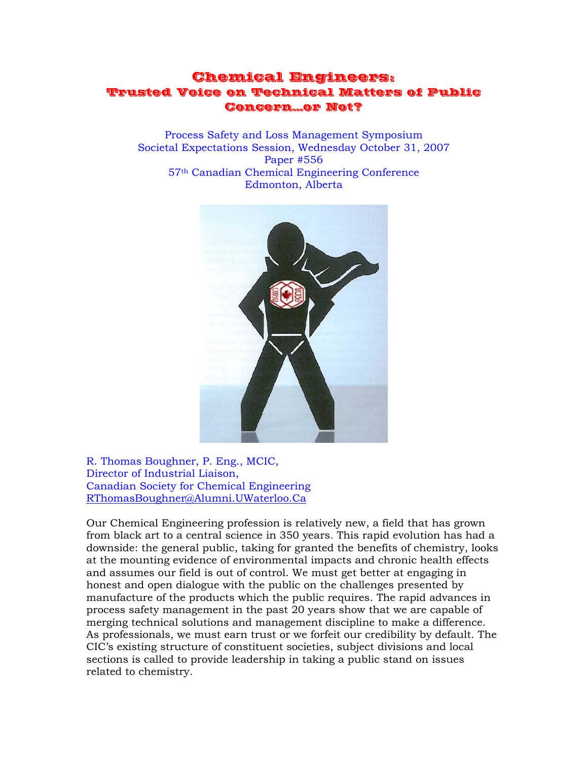## Chemical Engineers: Trusted Voice on Technical Matters of Public Concern…or Not?

Process Safety and Loss Management Symposium Societal Expectations Session, Wednesday October 31, 2007 Paper #556 57th Canadian Chemical Engineering Conference Edmonton, Alberta



R. Thomas Boughner, P. Eng., MCIC, Director of Industrial Liaison, Canadian Society for Chemical Engineering RThomasBoughner@Alumni.UWaterloo.Ca

Our Chemical Engineering profession is relatively new, a field that has grown from black art to a central science in 350 years. This rapid evolution has had a downside: the general public, taking for granted the benefits of chemistry, looks at the mounting evidence of environmental impacts and chronic health effects and assumes our field is out of control. We must get better at engaging in honest and open dialogue with the public on the challenges presented by manufacture of the products which the public requires. The rapid advances in process safety management in the past 20 years show that we are capable of merging technical solutions and management discipline to make a difference. As professionals, we must earn trust or we forfeit our credibility by default. The CIC's existing structure of constituent societies, subject divisions and local sections is called to provide leadership in taking a public stand on issues related to chemistry.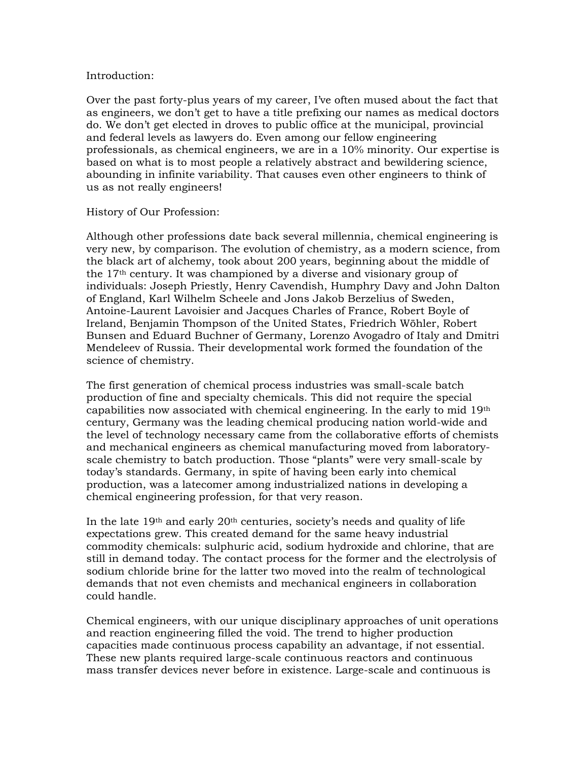#### Introduction:

Over the past forty-plus years of my career, I've often mused about the fact that as engineers, we don't get to have a title prefixing our names as medical doctors do. We don't get elected in droves to public office at the municipal, provincial and federal levels as lawyers do. Even among our fellow engineering professionals, as chemical engineers, we are in a 10% minority. Our expertise is based on what is to most people a relatively abstract and bewildering science, abounding in infinite variability. That causes even other engineers to think of us as not really engineers!

#### History of Our Profession:

Although other professions date back several millennia, chemical engineering is very new, by comparison. The evolution of chemistry, as a modern science, from the black art of alchemy, took about 200 years, beginning about the middle of the 17th century. It was championed by a diverse and visionary group of individuals: Joseph Priestly, Henry Cavendish, Humphry Davy and John Dalton of England, Karl Wilhelm Scheele and Jons Jakob Berzelius of Sweden, Antoine-Laurent Lavoisier and Jacques Charles of France, Robert Boyle of Ireland, Benjamin Thompson of the United States, Friedrich Wöhler, Robert Bunsen and Eduard Buchner of Germany, Lorenzo Avogadro of Italy and Dmitri Mendeleev of Russia. Their developmental work formed the foundation of the science of chemistry.

The first generation of chemical process industries was small-scale batch production of fine and specialty chemicals. This did not require the special capabilities now associated with chemical engineering. In the early to mid 19th century, Germany was the leading chemical producing nation world-wide and the level of technology necessary came from the collaborative efforts of chemists and mechanical engineers as chemical manufacturing moved from laboratoryscale chemistry to batch production. Those "plants" were very small-scale by today's standards. Germany, in spite of having been early into chemical production, was a latecomer among industrialized nations in developing a chemical engineering profession, for that very reason.

In the late 19<sup>th</sup> and early  $20<sup>th</sup>$  centuries, society's needs and quality of life expectations grew. This created demand for the same heavy industrial commodity chemicals: sulphuric acid, sodium hydroxide and chlorine, that are still in demand today. The contact process for the former and the electrolysis of sodium chloride brine for the latter two moved into the realm of technological demands that not even chemists and mechanical engineers in collaboration could handle.

Chemical engineers, with our unique disciplinary approaches of unit operations and reaction engineering filled the void. The trend to higher production capacities made continuous process capability an advantage, if not essential. These new plants required large-scale continuous reactors and continuous mass transfer devices never before in existence. Large-scale and continuous is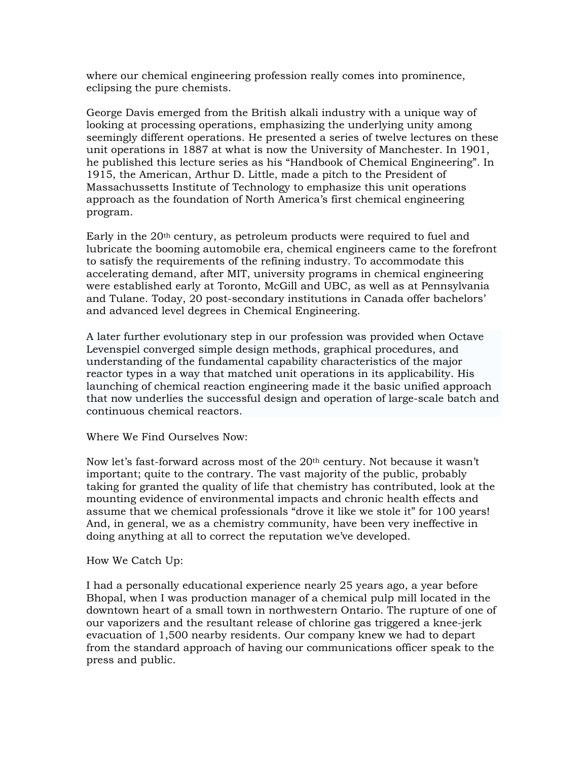where our chemical engineering profession really comes into prominence, eclipsing the pure chemists.

George Davis emerged from the British alkali industry with a unique way of looking at processing operations, emphasizing the underlying unity among seemingly different operations. He presented a series of twelve lectures on these unit operations in 1887 at what is now the University of Manchester. In 1901, he published this lecture series as his "Handbook of Chemical Engineering". In 1915, the American, Arthur D. Little, made a pitch to the President of Massachussetts Institute of Technology to emphasize this unit operations approach as the foundation of North America's first chemical engineering program.

Early in the 20th century, as petroleum products were required to fuel and lubricate the booming automobile era, chemical engineers came to the forefront to satisfy the requirements of the refining industry. To accommodate this accelerating demand, after MIT, university programs in chemical engineering were established early at Toronto, McGill and UBC, as well as at Pennsylvania and Tulane. Today, 20 post-secondary institutions in Canada offer bachelors' and advanced level degrees in Chemical Engineering.

A later further evolutionary step in our profession was provided when Octave Levenspiel converged simple design methods, graphical procedures, and understanding of the fundamental capability characteristics of the major reactor types in a way that matched unit operations in its applicability. His launching of chemical reaction engineering made it the basic unified approach that now underlies the successful design and operation of large-scale batch and continuous chemical reactors.

Where We Find Ourselves Now:

Now let's fast-forward across most of the  $20<sup>th</sup>$  century. Not because it wasn't important; quite to the contrary. The vast majority of the public, probably taking for granted the quality of life that chemistry has contributed, look at the mounting evidence of environmental impacts and chronic health effects and assume that we chemical professionals "drove it like we stole it" for 100 years! And, in general, we as a chemistry community, have been very ineffective in doing anything at all to correct the reputation we've developed.

#### How We Catch Up:

I had a personally educational experience nearly 25 years ago, a year before Bhopal, when I was production manager of a chemical pulp mill located in the downtown heart of a small town in northwestern Ontario. The rupture of one of our vaporizers and the resultant release of chlorine gas triggered a knee-jerk evacuation of 1,500 nearby residents. Our company knew we had to depart from the standard approach of having our communications officer speak to the press and public.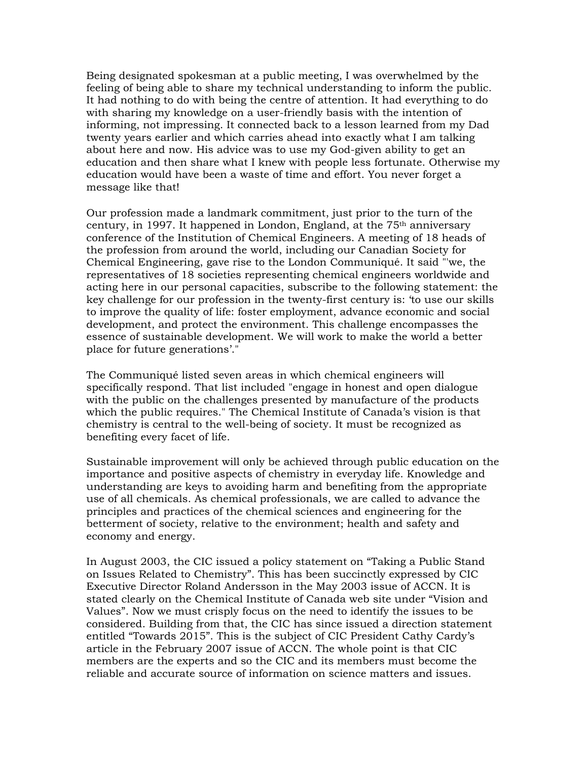Being designated spokesman at a public meeting, I was overwhelmed by the feeling of being able to share my technical understanding to inform the public. It had nothing to do with being the centre of attention. It had everything to do with sharing my knowledge on a user-friendly basis with the intention of informing, not impressing. It connected back to a lesson learned from my Dad twenty years earlier and which carries ahead into exactly what I am talking about here and now. His advice was to use my God-given ability to get an education and then share what I knew with people less fortunate. Otherwise my education would have been a waste of time and effort. You never forget a message like that!

Our profession made a landmark commitment, just prior to the turn of the century, in 1997. It happened in London, England, at the  $75<sup>th</sup>$  anniversary conference of the Institution of Chemical Engineers. A meeting of 18 heads of the profession from around the world, including our Canadian Society for Chemical Engineering, gave rise to the London Communiqué. It said "'we, the representatives of 18 societies representing chemical engineers worldwide and acting here in our personal capacities, subscribe to the following statement: the key challenge for our profession in the twenty-first century is: 'to use our skills to improve the quality of life: foster employment, advance economic and social development, and protect the environment. This challenge encompasses the essence of sustainable development. We will work to make the world a better place for future generations'."

The Communiqué listed seven areas in which chemical engineers will specifically respond. That list included "engage in honest and open dialogue with the public on the challenges presented by manufacture of the products which the public requires." The Chemical Institute of Canada's vision is that chemistry is central to the well-being of society. It must be recognized as benefiting every facet of life.

Sustainable improvement will only be achieved through public education on the importance and positive aspects of chemistry in everyday life. Knowledge and understanding are keys to avoiding harm and benefiting from the appropriate use of all chemicals. As chemical professionals, we are called to advance the principles and practices of the chemical sciences and engineering for the betterment of society, relative to the environment; health and safety and economy and energy.

In August 2003, the CIC issued a policy statement on "Taking a Public Stand on Issues Related to Chemistry". This has been succinctly expressed by CIC Executive Director Roland Andersson in the May 2003 issue of ACCN. It is stated clearly on the Chemical Institute of Canada web site under "Vision and Values". Now we must crisply focus on the need to identify the issues to be considered. Building from that, the CIC has since issued a direction statement entitled "Towards 2015". This is the subject of CIC President Cathy Cardy's article in the February 2007 issue of ACCN. The whole point is that CIC members are the experts and so the CIC and its members must become the reliable and accurate source of information on science matters and issues.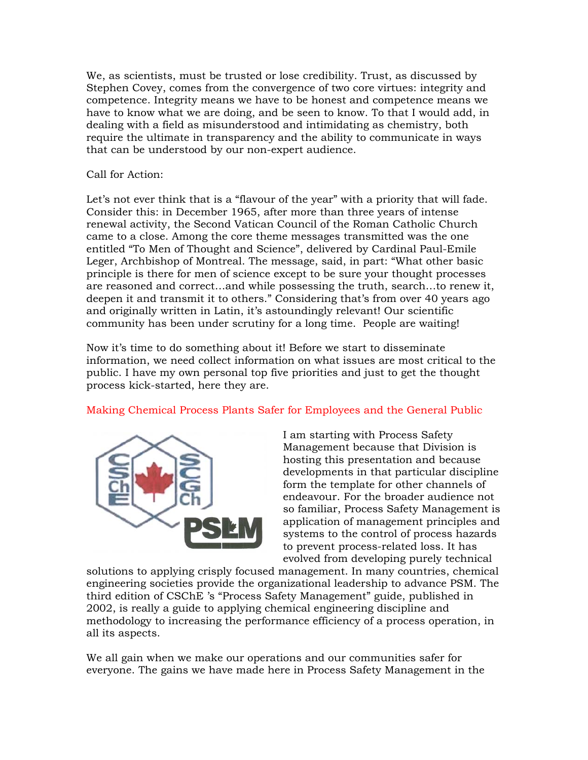We, as scientists, must be trusted or lose credibility. Trust, as discussed by Stephen Covey, comes from the convergence of two core virtues: integrity and competence. Integrity means we have to be honest and competence means we have to know what we are doing, and be seen to know. To that I would add, in dealing with a field as misunderstood and intimidating as chemistry, both require the ultimate in transparency and the ability to communicate in ways that can be understood by our non-expert audience.

## Call for Action:

Let's not ever think that is a "flavour of the year" with a priority that will fade. Consider this: in December 1965, after more than three years of intense renewal activity, the Second Vatican Council of the Roman Catholic Church came to a close. Among the core theme messages transmitted was the one entitled "To Men of Thought and Science", delivered by Cardinal Paul-Emile Leger, Archbishop of Montreal. The message, said, in part: "What other basic principle is there for men of science except to be sure your thought processes are reasoned and correct…and while possessing the truth, search…to renew it, deepen it and transmit it to others." Considering that's from over 40 years ago and originally written in Latin, it's astoundingly relevant! Our scientific community has been under scrutiny for a long time. People are waiting!

Now it's time to do something about it! Before we start to disseminate information, we need collect information on what issues are most critical to the public. I have my own personal top five priorities and just to get the thought process kick-started, here they are.

## Making Chemical Process Plants Safer for Employees and the General Public



I am starting with Process Safety Management because that Division is hosting this presentation and because developments in that particular discipline form the template for other channels of endeavour. For the broader audience not so familiar, Process Safety Management is application of management principles and systems to the control of process hazards to prevent process-related loss. It has evolved from developing purely technical

solutions to applying crisply focused management. In many countries, chemical engineering societies provide the organizational leadership to advance PSM. The third edition of CSChE 's "Process Safety Management" guide, published in 2002, is really a guide to applying chemical engineering discipline and methodology to increasing the performance efficiency of a process operation, in all its aspects.

We all gain when we make our operations and our communities safer for everyone. The gains we have made here in Process Safety Management in the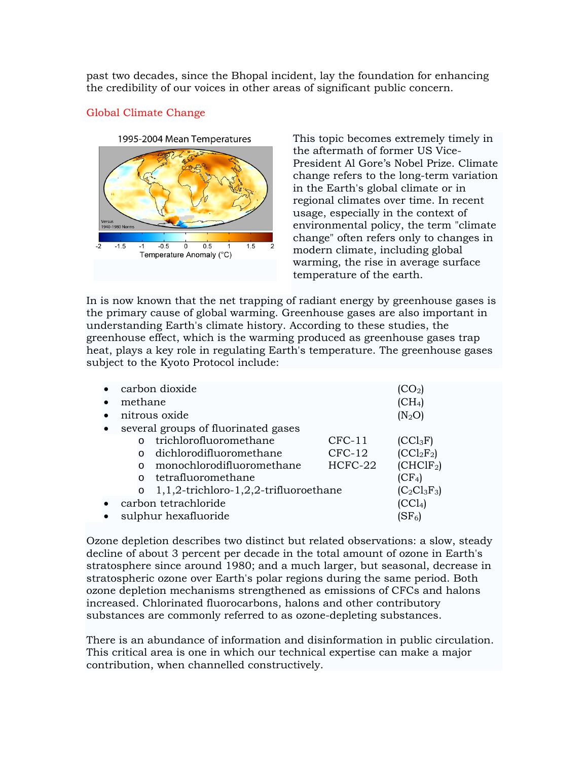past two decades, since the Bhopal incident, lay the foundation for enhancing the credibility of our voices in other areas of significant public concern.

# 1995-2004 Mean Temperatures versus<br>1940-1980 No  $-1.5$  $-0.5$  $\overline{0}$  $0.5$  $1.5$  $-1$ Temperature Anomaly (°C)

## Global Climate Change

This topic becomes extremely timely in the aftermath of former US Vice-President Al Gore's Nobel Prize. Climate change refers to the long-term variation in the Earth's global climate or in regional climates over time. In recent usage, especially in the context of environmental policy, the term "climate change" often refers only to changes in modern climate, including global warming, the rise in average surface temperature of the earth.

In is now known that the net trapping of radiant energy by greenhouse gases is the primary cause of global warming. Greenhouse gases are also important in understanding Earth's climate history. According to these studies, the greenhouse effect, which is the warming produced as greenhouse gases trap heat, plays a key role in regulating Earth's temperature. The greenhouse gases subject to the Kyoto Protocol include:

| carbon dioxide                                         |                           |          |                       |
|--------------------------------------------------------|---------------------------|----------|-----------------------|
| methane                                                |                           |          | $\rm (CH_4)$          |
| nitrous oxide                                          |                           |          | $(N_2O)$              |
| several groups of fluorinated gases                    |                           |          |                       |
| $\Omega$                                               | trichlorofluoromethane    | $CFC-11$ | $(CCl_3F)$            |
|                                                        | dichlorodifluoromethane   | $CFC-12$ | $(CCl_2F_2)$          |
| $\Omega$                                               | monochlorodifluoromethane | HCFC-22  | (CHCIF <sub>2</sub> ) |
| $\cap$                                                 | tetrafluoromethane        |          | (CF <sub>4</sub> )    |
| $1, 1, 2$ -trichloro-1,2,2-trifluoroethane<br>$\Omega$ |                           |          | $(C_2C1_3F_3)$        |
| carbon tetrachloride                                   |                           |          |                       |
| sulphur hexafluoride                                   |                           |          | $\rm (SF_6)$          |

Ozone depletion describes two distinct but related observations: a slow, steady decline of about 3 percent per decade in the total amount of ozone in Earth's stratosphere since around 1980; and a much larger, but seasonal, decrease in stratospheric ozone over Earth's polar regions during the same period. Both ozone depletion mechanisms strengthened as emissions of CFCs and halons increased. Chlorinated fluorocarbons, halons and other contributory substances are commonly referred to as ozone-depleting substances.

There is an abundance of information and disinformation in public circulation. This critical area is one in which our technical expertise can make a major contribution, when channelled constructively.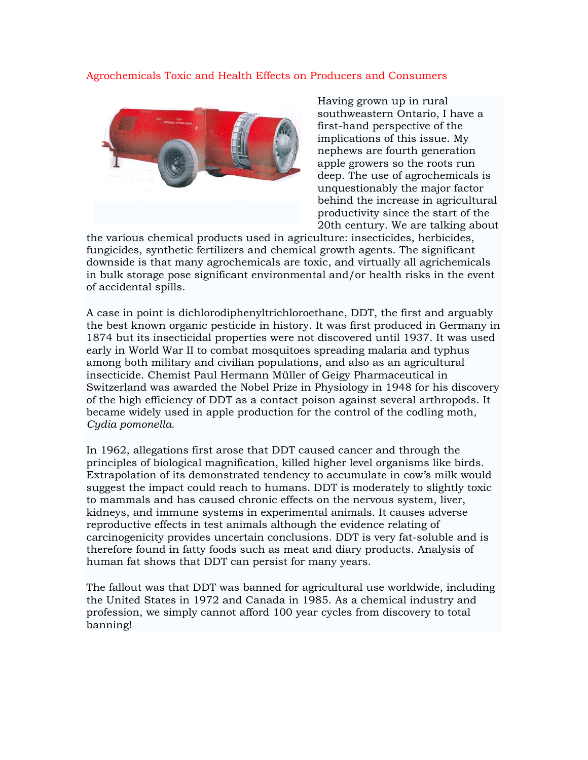### Agrochemicals Toxic and Health Effects on Producers and Consumers



Having grown up in rural southweastern Ontario, I have a first-hand perspective of the implications of this issue. My nephews are fourth generation apple growers so the roots run deep. The use of agrochemicals is unquestionably the major factor behind the increase in agricultural productivity since the start of the 20th century. We are talking about

the various chemical products used in agriculture: insecticides, herbicides, fungicides, synthetic fertilizers and chemical growth agents. The significant downside is that many agrochemicals are toxic, and virtually all agrichemicals in bulk storage pose significant environmental and/or health risks in the event of accidental spills.

A case in point is dichlorodiphenyltrichloroethane, DDT, the first and arguably the best known organic pesticide in history. It was first produced in Germany in 1874 but its insecticidal properties were not discovered until 1937. It was used early in World War II to combat mosquitoes spreading malaria and typhus among both military and civilian populations, and also as an agricultural insecticide. Chemist Paul Hermann Müller of Geigy Pharmaceutical in Switzerland was awarded the Nobel Prize in Physiology in 1948 for his discovery of the high efficiency of DDT as a contact poison against several arthropods. It became widely used in apple production for the control of the codling moth, *Cydia pomonella*.

In 1962, allegations first arose that DDT caused cancer and through the principles of biological magnification, killed higher level organisms like birds. Extrapolation of its demonstrated tendency to accumulate in cow's milk would suggest the impact could reach to humans. DDT is moderately to slightly toxic to mammals and has caused chronic effects on the nervous system, liver, kidneys, and immune systems in experimental animals. It causes adverse reproductive effects in test animals although the evidence relating of carcinogenicity provides uncertain conclusions. DDT is very fat-soluble and is therefore found in fatty foods such as meat and diary products. Analysis of human fat shows that DDT can persist for many years.

The fallout was that DDT was banned for agricultural use worldwide, including the United States in 1972 and Canada in 1985. As a chemical industry and profession, we simply cannot afford 100 year cycles from discovery to total banning!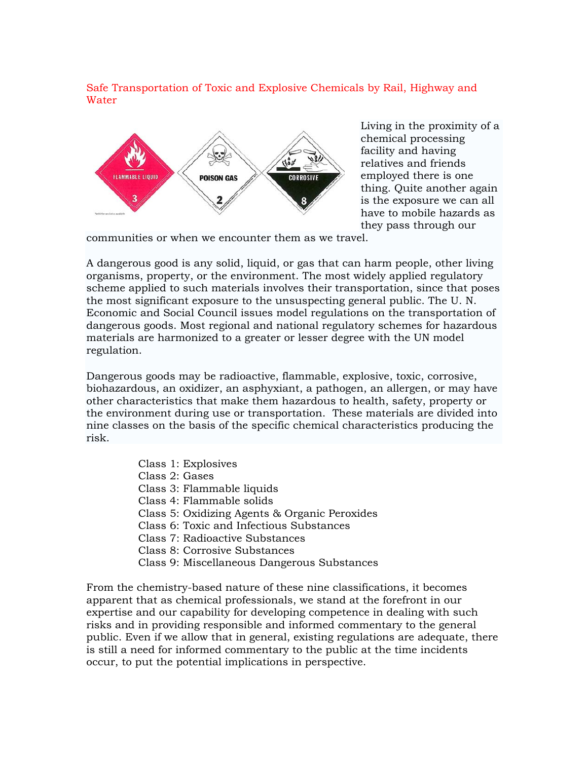## Safe Transportation of Toxic and Explosive Chemicals by Rail, Highway and Water



Living in the proximity of a chemical processing facility and having relatives and friends employed there is one thing. Quite another again is the exposure we can all have to mobile hazards as they pass through our

communities or when we encounter them as we travel.

A dangerous good is any solid, liquid, or gas that can harm people, other living organisms, property, or the environment. The most widely applied regulatory scheme applied to such materials involves their transportation, since that poses the most significant exposure to the unsuspecting general public. The U. N. Economic and Social Council issues model regulations on the transportation of dangerous goods. Most regional and national regulatory schemes for hazardous materials are harmonized to a greater or lesser degree with the UN model regulation.

Dangerous goods may be radioactive, flammable, explosive, toxic, corrosive, biohazardous, an oxidizer, an asphyxiant, a pathogen, an allergen, or may have other characteristics that make them hazardous to health, safety, property or the environment during use or transportation. These materials are divided into nine classes on the basis of the specific chemical characteristics producing the risk.

- Class 1: Explosives
- Class 2: Gases
- Class 3: Flammable liquids
- Class 4: Flammable solids
- Class 5: Oxidizing Agents & Organic Peroxides
- Class 6: Toxic and Infectious Substances
- Class 7: Radioactive Substances
- Class 8: Corrosive Substances
- Class 9: Miscellaneous Dangerous Substances

From the chemistry-based nature of these nine classifications, it becomes apparent that as chemical professionals, we stand at the forefront in our expertise and our capability for developing competence in dealing with such risks and in providing responsible and informed commentary to the general public. Even if we allow that in general, existing regulations are adequate, there is still a need for informed commentary to the public at the time incidents occur, to put the potential implications in perspective.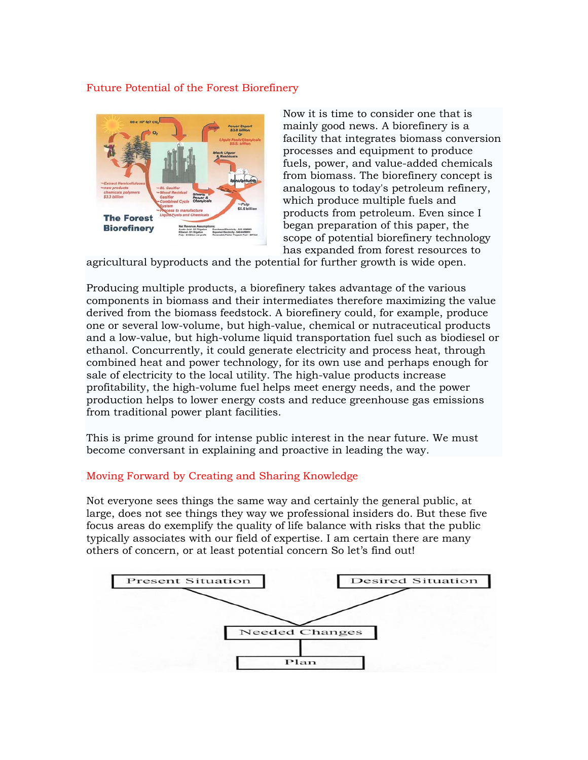## Future Potential of the Forest Biorefinery



Now it is time to consider one that is mainly good news. A biorefinery is a facility that integrates biomass conversion processes and equipment to produce fuels, power, and value-added chemicals from biomass. The biorefinery concept is analogous to today's petroleum refinery, which produce multiple fuels and products from petroleum. Even since I began preparation of this paper, the scope of potential biorefinery technology has expanded from forest resources to

agricultural byproducts and the potential for further growth is wide open.

Producing multiple products, a biorefinery takes advantage of the various components in biomass and their intermediates therefore maximizing the value derived from the biomass feedstock. A biorefinery could, for example, produce one or several low-volume, but high-value, chemical or nutraceutical products and a low-value, but high-volume liquid transportation fuel such as biodiesel or ethanol. Concurrently, it could generate electricity and process heat, through combined heat and power technology, for its own use and perhaps enough for sale of electricity to the local utility. The high-value products increase profitability, the high-volume fuel helps meet energy needs, and the power production helps to lower energy costs and reduce greenhouse gas emissions from traditional power plant facilities.

This is prime ground for intense public interest in the near future. We must become conversant in explaining and proactive in leading the way.

### Moving Forward by Creating and Sharing Knowledge

Not everyone sees things the same way and certainly the general public, at large, does not see things they way we professional insiders do. But these five focus areas do exemplify the quality of life balance with risks that the public typically associates with our field of expertise. I am certain there are many others of concern, or at least potential concern So let's find out!

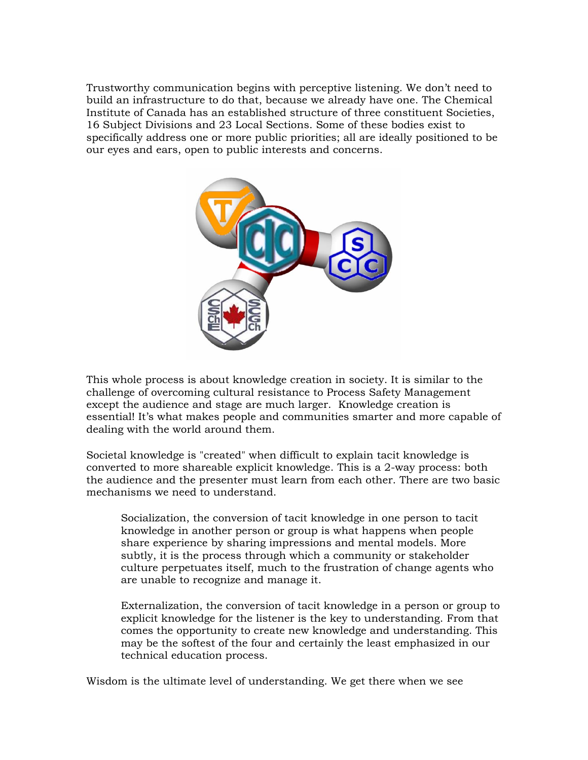Trustworthy communication begins with perceptive listening. We don't need to build an infrastructure to do that, because we already have one. The Chemical Institute of Canada has an established structure of three constituent Societies, 16 Subject Divisions and 23 Local Sections. Some of these bodies exist to specifically address one or more public priorities; all are ideally positioned to be our eyes and ears, open to public interests and concerns.



This whole process is about knowledge creation in society. It is similar to the challenge of overcoming cultural resistance to Process Safety Management except the audience and stage are much larger. Knowledge creation is essential! It's what makes people and communities smarter and more capable of dealing with the world around them.

Societal knowledge is "created" when difficult to explain tacit knowledge is converted to more shareable explicit knowledge. This is a 2-way process: both the audience and the presenter must learn from each other. There are two basic mechanisms we need to understand.

Socialization, the conversion of tacit knowledge in one person to tacit knowledge in another person or group is what happens when people share experience by sharing impressions and mental models. More subtly, it is the process through which a community or stakeholder culture perpetuates itself, much to the frustration of change agents who are unable to recognize and manage it.

Externalization, the conversion of tacit knowledge in a person or group to explicit knowledge for the listener is the key to understanding. From that comes the opportunity to create new knowledge and understanding. This may be the softest of the four and certainly the least emphasized in our technical education process.

Wisdom is the ultimate level of understanding. We get there when we see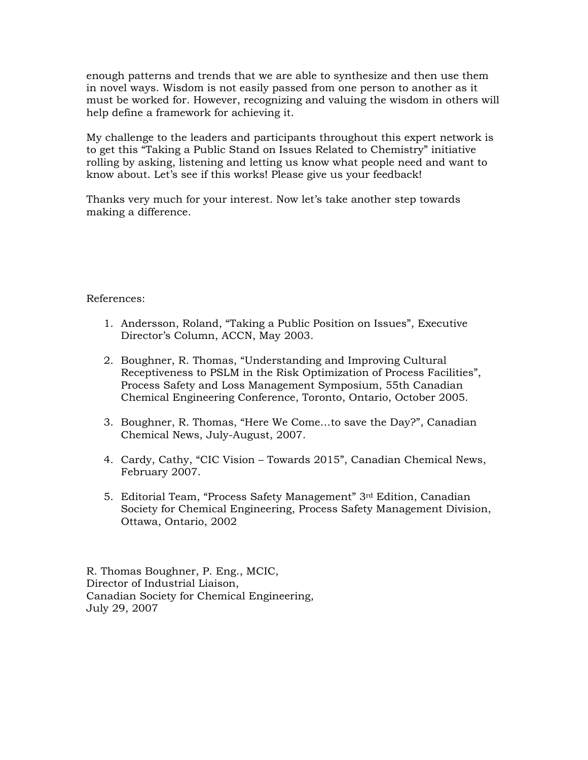enough patterns and trends that we are able to synthesize and then use them in novel ways. Wisdom is not easily passed from one person to another as it must be worked for. However, recognizing and valuing the wisdom in others will help define a framework for achieving it.

My challenge to the leaders and participants throughout this expert network is to get this "Taking a Public Stand on Issues Related to Chemistry" initiative rolling by asking, listening and letting us know what people need and want to know about. Let's see if this works! Please give us your feedback!

Thanks very much for your interest. Now let's take another step towards making a difference.

References:

- 1. Andersson, Roland, "Taking a Public Position on Issues", Executive Director's Column, ACCN, May 2003.
- 2. Boughner, R. Thomas, "Understanding and Improving Cultural Receptiveness to PSLM in the Risk Optimization of Process Facilities", Process Safety and Loss Management Symposium, 55th Canadian Chemical Engineering Conference, Toronto, Ontario, October 2005.
- 3. Boughner, R. Thomas, "Here We Come…to save the Day?", Canadian Chemical News, July-August, 2007.
- 4. Cardy, Cathy, "CIC Vision Towards 2015", Canadian Chemical News, February 2007.
- 5. Editorial Team, "Process Safety Management" 3rd Edition, Canadian Society for Chemical Engineering, Process Safety Management Division, Ottawa, Ontario, 2002

R. Thomas Boughner, P. Eng., MCIC, Director of Industrial Liaison, Canadian Society for Chemical Engineering, July 29, 2007